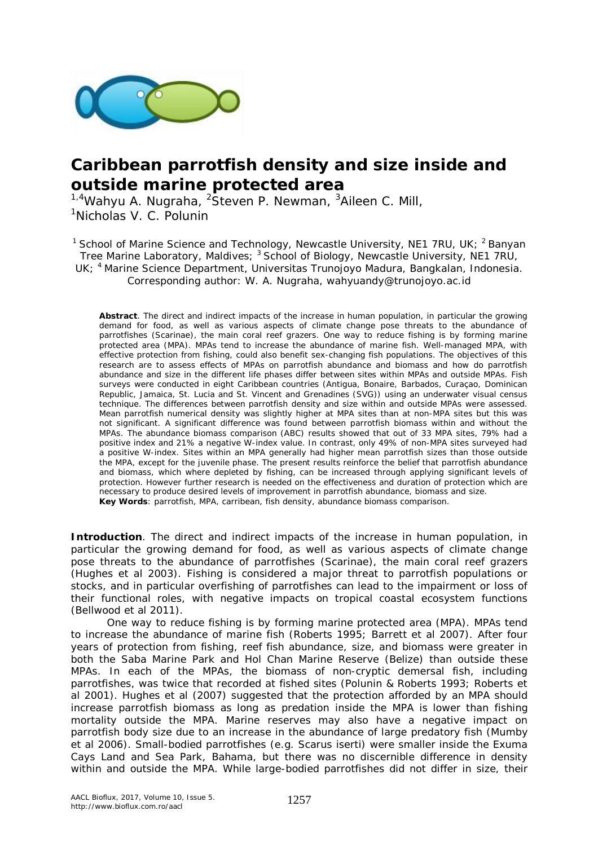

## **Caribbean parrotfish density and size inside and outside marine protected area**

<sup>1,4</sup>Wahyu A. Nugraha, <sup>2</sup>Steven P. Newman, <sup>3</sup>Aileen C. Mill, <sup>1</sup>Nicholas V. C. Polunin

<sup>1</sup> School of Marine Science and Technology, Newcastle University, NE1 7RU, UK;  $^2$  Banyan Tree Marine Laboratory, Maldives; <sup>3</sup> School of Biology, Newcastle University, NE1 7RU, UK; <sup>4</sup> Marine Science Department, Universitas Trunojoyo Madura, Bangkalan, Indonesia. Corresponding author: W. A. Nugraha, wahyuandy@trunojoyo.ac.id

**Abstract**. The direct and indirect impacts of the increase in human population, in particular the growing demand for food, as well as various aspects of climate change pose threats to the abundance of parrotfishes (Scarinae), the main coral reef grazers. One way to reduce fishing is by forming marine protected area (MPA). MPAs tend to increase the abundance of marine fish. Well-managed MPA, with effective protection from fishing, could also benefit sex-changing fish populations. The objectives of this research are to assess effects of MPAs on parrotfish abundance and biomass and how do parrotfish abundance and size in the different life phases differ between sites within MPAs and outside MPAs. Fish surveys were conducted in eight Caribbean countries (Antigua, Bonaire, Barbados, Curaçao, Dominican Republic, Jamaica, St. Lucia and St. Vincent and Grenadines (SVG)) using an underwater visual census technique. The differences between parrotfish density and size within and outside MPAs were assessed. Mean parrotfish numerical density was slightly higher at MPA sites than at non-MPA sites but this was not significant. A significant difference was found between parrotfish biomass within and without the MPAs. The abundance biomass comparison (ABC) results showed that out of 33 MPA sites, 79% had a positive index and 21% a negative W-index value. In contrast, only 49% of non-MPA sites surveyed had a positive W-index. Sites within an MPA generally had higher mean parrotfish sizes than those outside the MPA, except for the juvenile phase. The present results reinforce the belief that parrotfish abundance and biomass, which where depleted by fishing, can be increased through applying significant levels of protection. However further research is needed on the effectiveness and duration of protection which are necessary to produce desired levels of improvement in parrotfish abundance, biomass and size. **Key Words**: parrotfish, MPA, carribean, fish density, abundance biomass comparison.

**Introduction**. The direct and indirect impacts of the increase in human population, in particular the growing demand for food, as well as various aspects of climate change pose threats to the abundance of parrotfishes (Scarinae), the main coral reef grazers (Hughes et al 2003). Fishing is considered a major threat to parrotfish populations or stocks, and in particular overfishing of parrotfishes can lead to the impairment or loss of their functional roles, with negative impacts on tropical coastal ecosystem functions (Bellwood et al 2011).

One way to reduce fishing is by forming marine protected area (MPA). MPAs tend to increase the abundance of marine fish (Roberts 1995; Barrett et al 2007). After four years of protection from fishing, reef fish abundance, size, and biomass were greater in both the Saba Marine Park and Hol Chan Marine Reserve (Belize) than outside these MPAs. In each of the MPAs, the biomass of non-cryptic demersal fish, including parrotfishes, was twice that recorded at fished sites (Polunin & Roberts 1993; Roberts et al 2001). Hughes et al (2007) suggested that the protection afforded by an MPA should increase parrotfish biomass as long as predation inside the MPA is lower than fishing mortality outside the MPA. Marine reserves may also have a negative impact on parrotfish body size due to an increase in the abundance of large predatory fish (Mumby et al 2006). Small-bodied parrotfishes (e.g. *Scarus iserti*) were smaller inside the Exuma Cays Land and Sea Park, Bahama, but there was no discernible difference in density within and outside the MPA. While large-bodied parrotfishes did not differ in size, their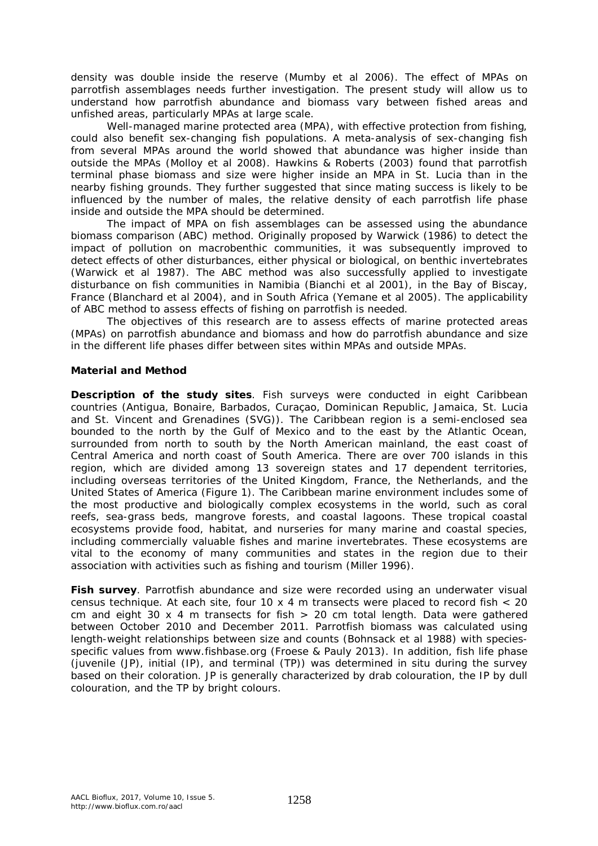density was double inside the reserve (Mumby et al 2006). The effect of MPAs on parrotfish assemblages needs further investigation. The present study will allow us to understand how parrotfish abundance and biomass vary between fished areas and unfished areas, particularly MPAs at large scale.

Well-managed marine protected area (MPA), with effective protection from fishing, could also benefit sex-changing fish populations. A meta-analysis of sex-changing fish from several MPAs around the world showed that abundance was higher inside than outside the MPAs (Molloy et al 2008). Hawkins & Roberts (2003) found that parrotfish terminal phase biomass and size were higher inside an MPA in St. Lucia than in the nearby fishing grounds. They further suggested that since mating success is likely to be influenced by the number of males, the relative density of each parrotfish life phase inside and outside the MPA should be determined.

The impact of MPA on fish assemblages can be assessed using the abundance biomass comparison (ABC) method. Originally proposed by Warwick (1986) to detect the impact of pollution on macrobenthic communities, it was subsequently improved to detect effects of other disturbances, either physical or biological, on benthic invertebrates (Warwick et al 1987). The ABC method was also successfully applied to investigate disturbance on fish communities in Namibia (Bianchi et al 2001), in the Bay of Biscay, France (Blanchard et al 2004), and in South Africa (Yemane et al 2005). The applicability of ABC method to assess effects of fishing on parrotfish is needed.

The obiectives of this research are to assess effects of marine protected areas (MPAs) on parrotfish abundance and biomass and how do parrotfish abundance and size in the different life phases differ between sites within MPAs and outside MPAs.

## **Material and Method**

*Description of the study sites.* Fish surveys were conducted in eight Caribbean countries (Antigua, Bonaire, Barbados, Curaçao, Dominican Republic, Jamaica, St. Lucia and St. Vincent and Grenadines (SVG)). The Caribbean region is a semi-enclosed sea bounded to the north by the Gulf of Mexico and to the east by the Atlantic Ocean, surrounded from north to south by the North American mainland, the east coast of Central America and north coast of South America. There are over 700 islands in this region, which are divided among 13 sovereign states and 17 dependent territories, including overseas territories of the United Kingdom, France, the Netherlands, and the United States of America (Figure 1). The Caribbean marine environment includes some of the most productive and biologically complex ecosystems in the world, such as coral reefs, sea-grass beds, mangrove forests, and coastal lagoons. These tropical coastal ecosystems provide food, habitat, and nurseries for many marine and coastal species, including commercially valuable fishes and marine invertebrates. These ecosystems are vital to the economy of many communities and states in the region due to their association with activities such as fishing and tourism (Miller 1996).

*Fish survey*. Parrotfish abundance and size were recorded using an underwater visual census technique. At each site, four 10 x 4 m transects were placed to record fish  $<$  20 cm and eight 30 x 4 m transects for fish  $> 20$  cm total length. Data were gathered between October 2010 and December 2011. Parrotfish biomass was calculated using length-weight relationships between size and counts (Bohnsack et al 1988) with speciesspecific values from www.fishbase.org (Froese & Pauly 2013). In addition, fish life phase (juvenile (JP), initial (IP), and terminal (TP)) was determined *in situ* during the survey based on their coloration. JP is generally characterized by drab colouration, the IP by dull colouration, and the TP by bright colours.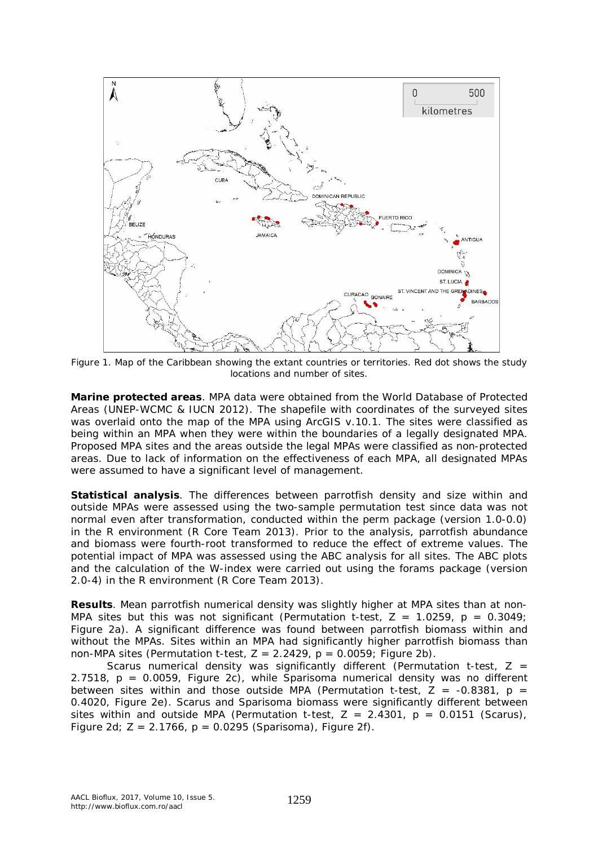

Figure 1. Map of the Caribbean showing the extant countries or territories. Red dot shows the study locations and number of sites.

*Marine protected areas.* MPA data were obtained from the World Database of Protected Areas (UNEP-WCMC & IUCN 2012). The shapefile with coordinates of the surveyed sites was overlaid onto the map of the MPA using ArcGIS v.10.1. The sites were classified as being within an MPA when they were within the boundaries of a legally designated MPA. Proposed MPA sites and the areas outside the legal MPAs were classified as non-protected areas. Due to lack of information on the effectiveness of each MPA, all designated MPAs were assumed to have a significant level of management.

*Statistical analysis.* The differences between parrotfish density and size within and outside MPAs were assessed using the two-sample permutation test since data was not normal even after transformation, conducted within the *perm* package (version 1.0-0.0) in the R environment (R Core Team 2013). Prior to the analysis, parrotfish abundance and biomass were fourth-root transformed to reduce the effect of extreme values. The potential impact of MPA was assessed using the ABC analysis for all sites. The ABC plots and the calculation of the W-index were carried out using the *forams* package (version 2.0-4) in the R environment (R Core Team 2013).

**Results**. Mean parrotfish numerical density was slightly higher at MPA sites than at non-MPA sites but this was not significant (Permutation t-test,  $Z = 1.0259$ ,  $p = 0.3049$ ; Figure 2a). A significant difference was found between parrotfish biomass within and without the MPAs. Sites within an MPA had significantly higher parrotfish biomass than non-MPA sites (Permutation t-test,  $Z = 2.2429$ ,  $p = 0.0059$ ; Figure 2b).

*Scarus* numerical density was significantly different (Permutation t-test, Z = 2.7518, p = 0.0059, Figure 2c), while *Sparisoma* numerical density was no different between sites within and those outside MPA (Permutation t-test,  $\bar{Z}$  = -0.8381, p = 0.4020, Figure 2e). *Scarus* and *Sparisoma* biomass were significantly different between sites within and outside MPA (Permutation t-test, Z = 2.4301, p = 0.0151 (*Scarus*), Figure 2d; Z = 2.1766, p = 0.0295 (*Sparisoma*), Figure 2f).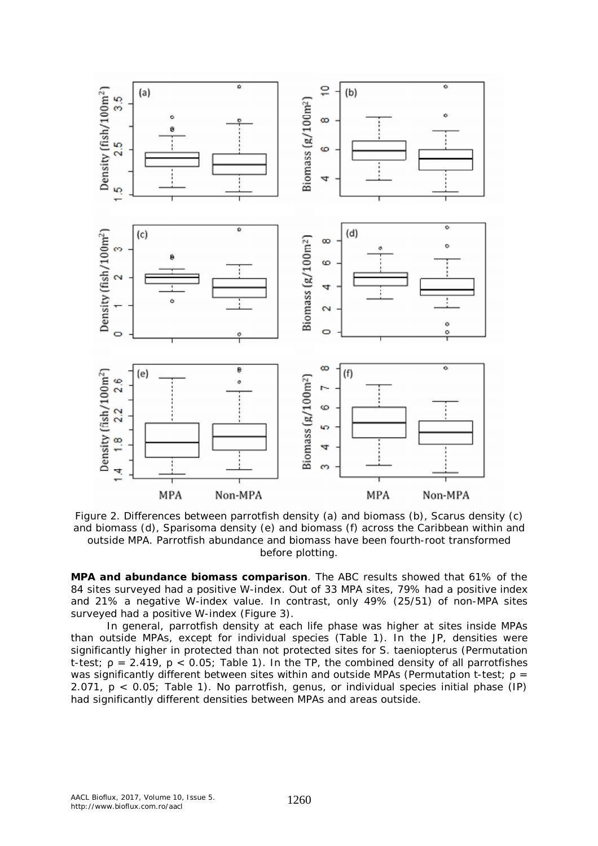

Figure 2. Differences between parrotfish density (a) and biomass (b), *Scarus* density (c) and biomass (d), *Sparisoma* density (e) and biomass (f) across the Caribbean within and outside MPA. Parrotfish abundance and biomass have been fourth-root transformed before plotting.

*MPA and abundance biomass comparison.* The ABC results showed that 61% of the 84 sites surveyed had a positive W-index. Out of 33 MPA sites, 79% had a positive index and 21% a negative W-index value. In contrast, only 49% (25/51) of non-MPA sites surveyed had a positive W-index (Figure 3).

In general, parrotfish density at each life phase was higher at sites inside MPAs than outside MPAs, except for individual species (Table 1). In the JP, densities were significantly higher in protected than not protected sites for *S. taeniopterus* (Permutation t-test;  $\rho = 2.419$ ,  $p < 0.05$ ; Table 1). In the TP, the combined density of all parrotfishes was significantly different between sites within and outside MPAs (Permutation t-test;  $\rho =$ 2.071, p < 0.05; Table 1). No parrotfish, genus, or individual species initial phase (IP) had significantly different densities between MPAs and areas outside.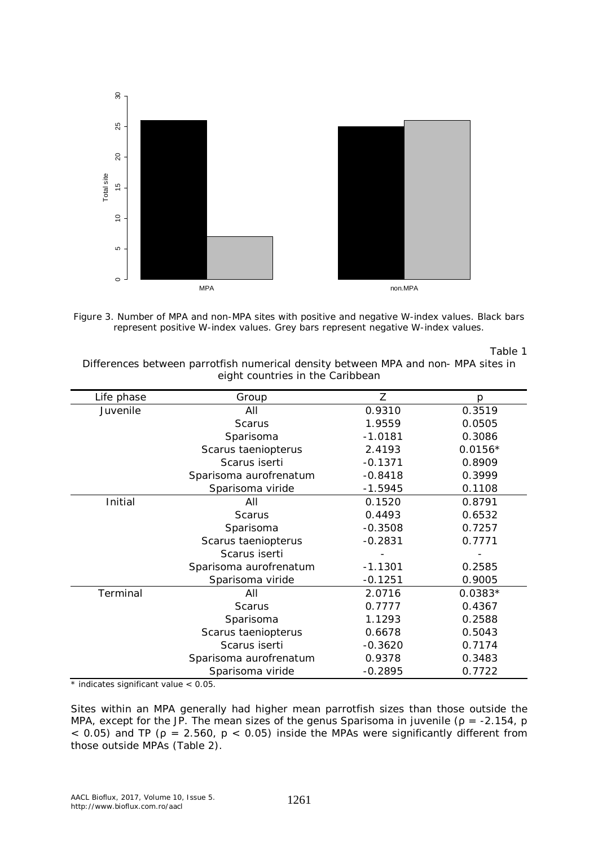



Table 1

Differences between parrotfish numerical density between MPA and non- MPA sites in eight countries in the Caribbean

| Life phase | Group                  | Ζ         | р         |
|------------|------------------------|-----------|-----------|
| Juvenile   | All                    | 0.9310    | 0.3519    |
|            | <b>Scarus</b>          | 1.9559    | 0.0505    |
|            | Sparisoma              | $-1.0181$ | 0.3086    |
|            | Scarus taeniopterus    | 2.4193    | $0.0156*$ |
|            | Scarus iserti          | $-0.1371$ | 0.8909    |
|            | Sparisoma aurofrenatum | $-0.8418$ | 0.3999    |
|            | Sparisoma viride       | $-1.5945$ | 0.1108    |
| Initial    | All                    | 0.1520    | 0.8791    |
|            | <b>Scarus</b>          | 0.4493    | 0.6532    |
|            | Sparisoma              | $-0.3508$ | 0.7257    |
|            | Scarus taeniopterus    | $-0.2831$ | 0.7771    |
|            | Scarus iserti          |           |           |
|            | Sparisoma aurofrenatum | $-1.1301$ | 0.2585    |
|            | Sparisoma viride       | $-0.1251$ | 0.9005    |
| Terminal   | All                    | 2.0716    | $0.0383*$ |
|            | <b>Scarus</b>          | 0.7777    | 0.4367    |
|            | Sparisoma              | 1.1293    | 0.2588    |
|            | Scarus taeniopterus    | 0.6678    | 0.5043    |
|            | Scarus iserti          | $-0.3620$ | 0.7174    |
|            | Sparisoma aurofrenatum | 0.9378    | 0.3483    |
|            | Sparisoma viride       | $-0.2895$ | 0.7722    |

\* indicates significant value < 0.05.

Sites within an MPA generally had higher mean parrotfish sizes than those outside the MPA, except for the JP. The mean sizes of the genus *Sparisoma* in juvenile (ρ = -2.154, p  $<$  0.05) and TP ( $\rho = 2.560$ ,  $p < 0.05$ ) inside the MPAs were significantly different from those outside MPAs (Table 2).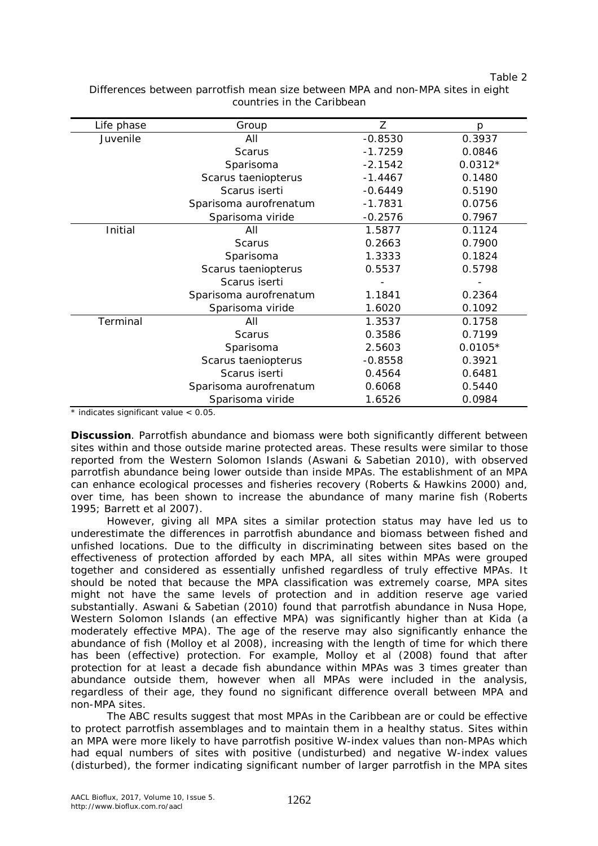Table 2

| Life phase | Group                  | Ζ         | Ŋ         |
|------------|------------------------|-----------|-----------|
| Juvenile   | All                    | $-0.8530$ | 0.3937    |
|            | <b>Scarus</b>          | $-1.7259$ | 0.0846    |
|            | Sparisoma              | $-2.1542$ | $0.0312*$ |
|            | Scarus taeniopterus    | $-1.4467$ | 0.1480    |
|            | Scarus iserti          | $-0.6449$ | 0.5190    |
|            | Sparisoma aurofrenatum | $-1.7831$ | 0.0756    |
|            | Sparisoma viride       | $-0.2576$ | 0.7967    |
| Initial    | All                    | 1.5877    | 0.1124    |
|            | <b>Scarus</b>          | 0.2663    | 0.7900    |
|            | Sparisoma              | 1.3333    | 0.1824    |
|            | Scarus taeniopterus    | 0.5537    | 0.5798    |
|            | Scarus iserti          |           |           |
|            | Sparisoma aurofrenatum | 1.1841    | 0.2364    |
|            | Sparisoma viride       | 1.6020    | 0.1092    |
| Terminal   | All                    | 1.3537    | 0.1758    |
|            | <b>Scarus</b>          | 0.3586    | 0.7199    |
|            | Sparisoma              | 2.5603    | $0.0105*$ |
|            | Scarus taeniopterus    | $-0.8558$ | 0.3921    |
|            | Scarus iserti          | 0.4564    | 0.6481    |
|            | Sparisoma aurofrenatum | 0.6068    | 0.5440    |
|            | Sparisoma viride       | 1.6526    | 0.0984    |

Differences between parrotfish mean size between MPA and non-MPA sites in eight countries in the Caribbean

\* indicates significant value < 0.05.

**Discussion**. Parrotfish abundance and biomass were both significantly different between sites within and those outside marine protected areas. These results were similar to those reported from the Western Solomon Islands (Aswani & Sabetian 2010), with observed parrotfish abundance being lower outside than inside MPAs. The establishment of an MPA can enhance ecological processes and fisheries recovery (Roberts & Hawkins 2000) and, over time, has been shown to increase the abundance of many marine fish (Roberts 1995; Barrett et al 2007).

However, giving all MPA sites a similar protection status may have led us to underestimate the differences in parrotfish abundance and biomass between fished and unfished locations. Due to the difficulty in discriminating between sites based on the effectiveness of protection afforded by each MPA, all sites within MPAs were grouped together and considered as essentially unfished regardless of truly effective MPAs. It should be noted that because the MPA classification was extremely coarse, MPA sites might not have the same levels of protection and in addition reserve age varied substantially. Aswani & Sabetian (2010) found that parrotfish abundance in Nusa Hope, Western Solomon Islands (an effective MPA) was significantly higher than at Kida (a moderately effective MPA). The age of the reserve may also significantly enhance the abundance of fish (Molloy et al 2008), increasing with the length of time for which there has been (effective) protection. For example, Molloy et al (2008) found that after protection for at least a decade fish abundance within MPAs was 3 times greater than abundance outside them, however when all MPAs were included in the analysis, regardless of their age, they found no significant difference overall between MPA and non-MPA sites.

The ABC results suggest that most MPAs in the Caribbean are or could be effective to protect parrotfish assemblages and to maintain them in a healthy status. Sites within an MPA were more likely to have parrotfish positive W-index values than non-MPAs which had equal numbers of sites with positive (undisturbed) and negative W-index values (disturbed), the former indicating significant number of larger parrotfish in the MPA sites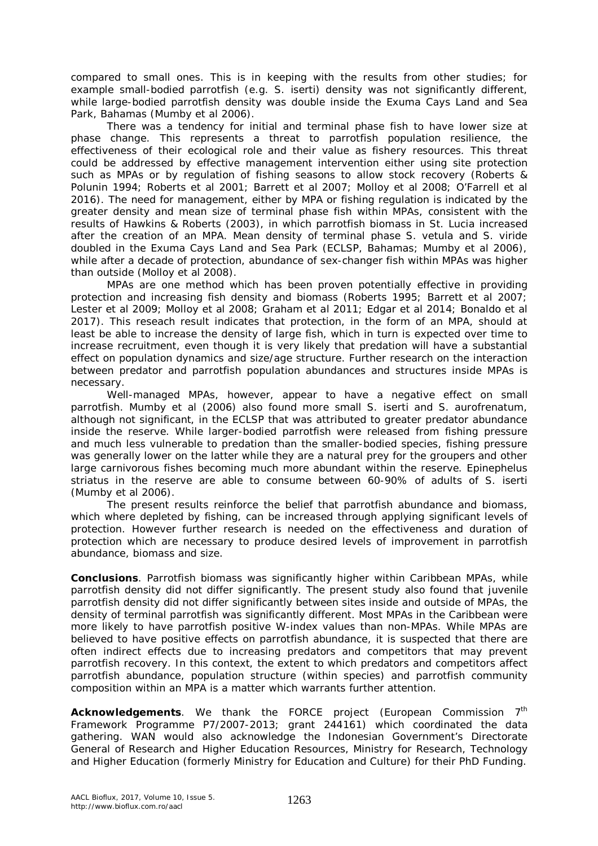compared to small ones. This is in keeping with the results from other studies; for example small-bodied parrotfish (e.g. *S. iserti*) density was not significantly different, while large-bodied parrotfish density was double inside the Exuma Cays Land and Sea Park, Bahamas (Mumby et al 2006).

There was a tendency for initial and terminal phase fish to have lower size at phase change. This represents a threat to parrotfish population resilience, the effectiveness of their ecological role and their value as fishery resources. This threat could be addressed by effective management intervention either using site protection such as MPAs or by regulation of fishing seasons to allow stock recovery (Roberts & Polunin 1994; Roberts et al 2001; Barrett et al 2007; Molloy et al 2008; O'Farrell et al 2016). The need for management, either by MPA or fishing regulation is indicated by the greater density and mean size of terminal phase fish within MPAs, consistent with the results of Hawkins & Roberts (2003), in which parrotfish biomass in St. Lucia increased after the creation of an MPA. Mean density of terminal phase *S. vetula* and *S. viride*  doubled in the Exuma Cays Land and Sea Park (ECLSP, Bahamas; Mumby et al 2006), while after a decade of protection, abundance of sex-changer fish within MPAs was higher than outside (Molloy et al 2008).

MPAs are one method which has been proven potentially effective in providing protection and increasing fish density and biomass (Roberts 1995; Barrett et al 2007; Lester et al 2009; Molloy et al 2008; Graham et al 2011; Edgar et al 2014; Bonaldo et al 2017). This reseach result indicates that protection, in the form of an MPA, should at least be able to increase the density of large fish, which in turn is expected over time to increase recruitment, even though it is very likely that predation will have a substantial effect on population dynamics and size/age structure. Further research on the interaction between predator and parrotfish population abundances and structures inside MPAs is necessary.

Well-managed MPAs, however, appear to have a negative effect on small parrotfish. Mumby et al (2006) also found more small *S. iserti* and *S. aurofrenatum,*  although not significant*,* in the ECLSP that was attributed to greater predator abundance inside the reserve. While larger-bodied parrotfish were released from fishing pressure and much less vulnerable to predation than the smaller-bodied species, fishing pressure was generally lower on the latter while they are a natural prey for the groupers and other large carnivorous fishes becoming much more abundant within the reserve. *Epinephelus striatus* in the reserve are able to consume between 60-90% of adults of *S. iserti* (Mumby et al 2006).

The present results reinforce the belief that parrotfish abundance and biomass, which where depleted by fishing, can be increased through applying significant levels of protection. However further research is needed on the effectiveness and duration of protection which are necessary to produce desired levels of improvement in parrotfish abundance, biomass and size.

**Conclusions**. Parrotfish biomass was significantly higher within Caribbean MPAs, while parrotfish density did not differ significantly. The present study also found that juvenile parrotfish density did not differ significantly between sites inside and outside of MPAs, the density of terminal parrotfish was significantly different. Most MPAs in the Caribbean were more likely to have parrotfish positive W-index values than non-MPAs. While MPAs are believed to have positive effects on parrotfish abundance, it is suspected that there are often indirect effects due to increasing predators and competitors that may prevent parrotfish recovery. In this context, the extent to which predators and competitors affect parrotfish abundance, population structure (within species) and parrotfish community composition within an MPA is a matter which warrants further attention.

Acknowledgements. We thank the FORCE project (European Commission 7<sup>th</sup> Framework Programme P7/2007-2013; grant 244161) which coordinated the data gathering. WAN would also acknowledge the Indonesian Government's Directorate General of Research and Higher Education Resources, Ministry for Research, Technology and Higher Education (formerly Ministry for Education and Culture) for their PhD Funding.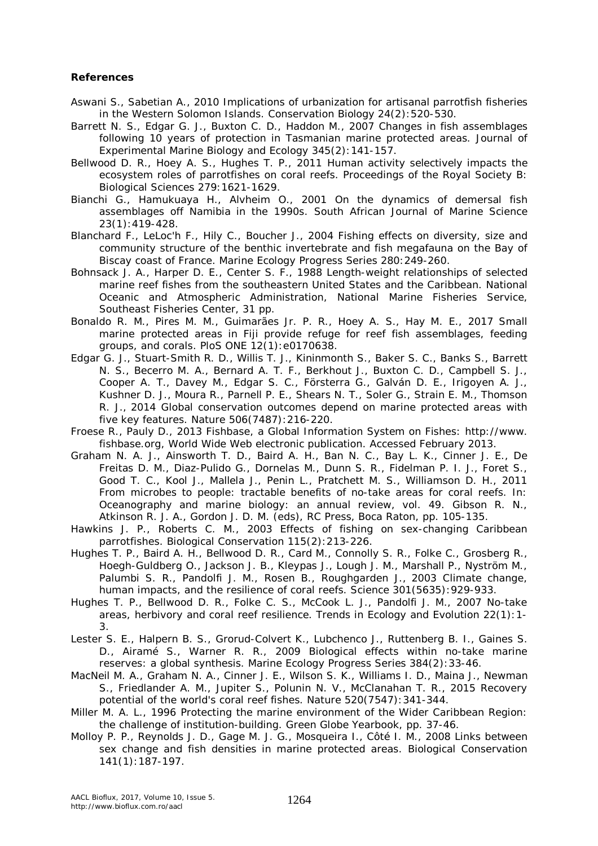## **References**

- Aswani S., Sabetian A., 2010 Implications of urbanization for artisanal parrotfish fisheries in the Western Solomon Islands. Conservation Biology 24(2):520-530.
- Barrett N. S., Edgar G. J., Buxton C. D., Haddon M., 2007 Changes in fish assemblages following 10 years of protection in Tasmanian marine protected areas. Journal of Experimental Marine Biology and Ecology 345(2):141-157.
- Bellwood D. R., Hoey A. S., Hughes T. P., 2011 Human activity selectively impacts the ecosystem roles of parrotfishes on coral reefs. Proceedings of the Royal Society B: Biological Sciences 279:1621-1629.
- Bianchi G., Hamukuaya H., Alvheim O., 2001 On the dynamics of demersal fish assemblages off Namibia in the 1990s. South African Journal of Marine Science 23(1):419-428.
- Blanchard F., LeLoc'h F., Hily C., Boucher J., 2004 Fishing effects on diversity, size and community structure of the benthic invertebrate and fish megafauna on the Bay of Biscay coast of France. Marine Ecology Progress Series 280:249-260.
- Bohnsack J. A., Harper D. E., Center S. F., 1988 Length-weight relationships of selected marine reef fishes from the southeastern United States and the Caribbean. National Oceanic and Atmospheric Administration, National Marine Fisheries Service, Southeast Fisheries Center, 31 pp.
- Bonaldo R. M., Pires M. M., Guimarães Jr. P. R., Hoey A. S., Hay M. E., 2017 Small marine protected areas in Fiji provide refuge for reef fish assemblages, feeding groups, and corals. PloS ONE 12(1):e0170638.
- Edgar G. J., Stuart-Smith R. D., Willis T. J., Kininmonth S., Baker S. C., Banks S., Barrett N. S., Becerro M. A., Bernard A. T. F., Berkhout J., Buxton C. D., Campbell S. J., Cooper A. T., Davey M., Edgar S. C., Försterra G., Galván D. E., Irigoyen A. J., Kushner D. J., Moura R., Parnell P. E., Shears N. T., Soler G., Strain E. M., Thomson R. J., 2014 Global conservation outcomes depend on marine protected areas with five key features. Nature 506(7487):216-220.
- Froese R., Pauly D., 2013 Fishbase, a Global Information System on Fishes: http://www. fishbase.org, World Wide Web electronic publication. Accessed February 2013.
- Graham N. A. J., Ainsworth T. D., Baird A. H., Ban N. C., Bay L. K., Cinner J. E., De Freitas D. M., Diaz-Pulido G., Dornelas M., Dunn S. R., Fidelman P. I. J., Foret S., Good T. C., Kool J., Mallela J., Penin L., Pratchett M. S., Williamson D. H., 2011 From microbes to people: tractable benefits of no-take areas for coral reefs. In: Oceanography and marine biology: an annual review, vol. 49. Gibson R. N., Atkinson R. J. A., Gordon J. D. M. (eds), RC Press, Boca Raton, pp. 105-135.
- Hawkins J. P., Roberts C. M., 2003 Effects of fishing on sex-changing Caribbean parrotfishes. Biological Conservation 115(2):213-226.
- Hughes T. P., Baird A. H., Bellwood D. R., Card M., Connolly S. R., Folke C., Grosberg R., Hoegh-Guldberg O., Jackson J. B., Kleypas J., Lough J. M., Marshall P., Nyström M., Palumbi S. R., Pandolfi J. M., Rosen B., Roughgarden J., 2003 Climate change, human impacts, and the resilience of coral reefs. Science 301(5635):929-933.
- Hughes T. P., Bellwood D. R., Folke C. S., McCook L. J., Pandolfi J. M., 2007 No-take areas, herbivory and coral reef resilience. Trends in Ecology and Evolution 22(1):1- 3.
- Lester S. E., Halpern B. S., Grorud-Colvert K., Lubchenco J., Ruttenberg B. I., Gaines S. D., Airamé S., Warner R. R., 2009 Biological effects within no-take marine reserves: a global synthesis. Marine Ecology Progress Series 384(2):33-46.
- MacNeil M. A., Graham N. A., Cinner J. E., Wilson S. K., Williams I. D., Maina J., Newman S., Friedlander A. M., Jupiter S., Polunin N. V., McClanahan T. R., 2015 Recovery potential of the world's coral reef fishes. Nature 520(7547):341-344.
- Miller M. A. L., 1996 Protecting the marine environment of the Wider Caribbean Region: the challenge of institution-building. Green Globe Yearbook, pp. 37-46.
- Molloy P. P., Reynolds J. D., Gage M. J. G., Mosqueira I., Côté I. M., 2008 Links between sex change and fish densities in marine protected areas. Biological Conservation 141(1):187-197.